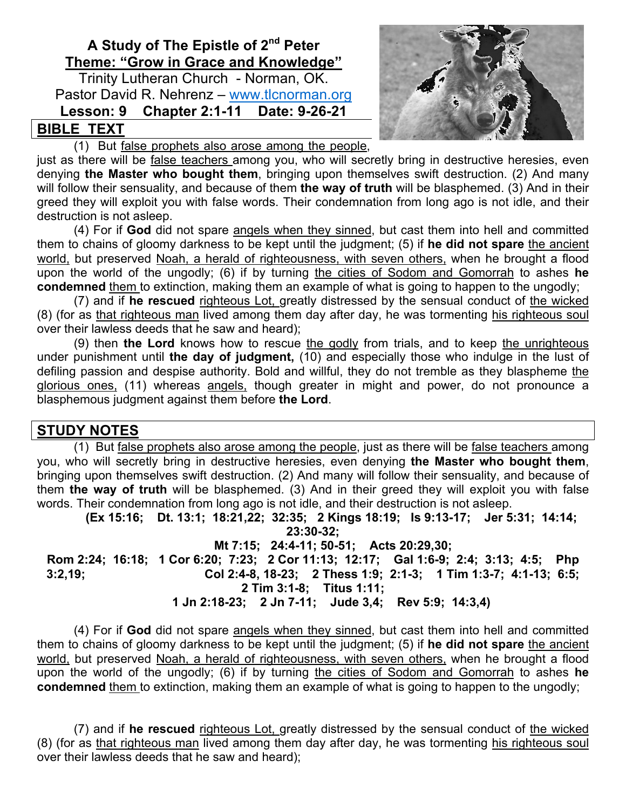# **A Study of The Epistle of 2nd Peter Theme: "Grow in Grace and Knowledge"**

Trinity Lutheran Church - Norman, OK. Pastor David R. Nehrenz – www.tlcnorman.org **Lesson: 9 Chapter 2:1-11 Date: 9-26-21**

# **BIBLE TEXT**

(1) But false prophets also arose among the people,

just as there will be false teachers among you, who will secretly bring in destructive heresies, even denying **the Master who bought them**, bringing upon themselves swift destruction. (2) And many will follow their sensuality, and because of them **the way of truth** will be blasphemed. (3) And in their greed they will exploit you with false words. Their condemnation from long ago is not idle, and their destruction is not asleep.

(4) For if **God** did not spare angels when they sinned, but cast them into hell and committed them to chains of gloomy darkness to be kept until the judgment; (5) if **he did not spare** the ancient world, but preserved Noah, a herald of righteousness, with seven others, when he brought a flood upon the world of the ungodly; (6) if by turning the cities of Sodom and Gomorrah to ashes **he condemned** them to extinction, making them an example of what is going to happen to the ungodly;

(7) and if **he rescued** righteous Lot, greatly distressed by the sensual conduct of the wicked (8) (for as that righteous man lived among them day after day, he was tormenting his righteous soul over their lawless deeds that he saw and heard);

(9) then **the Lord** knows how to rescue the godly from trials, and to keep the unrighteous under punishment until **the day of judgment,** (10) and especially those who indulge in the lust of defiling passion and despise authority. Bold and willful, they do not tremble as they blaspheme the glorious ones, (11) whereas angels, though greater in might and power, do not pronounce a blasphemous judgment against them before **the Lord**.

# **STUDY NOTES**

(1) But false prophets also arose among the people, just as there will be false teachers among you, who will secretly bring in destructive heresies, even denying **the Master who bought them**, bringing upon themselves swift destruction. (2) And many will follow their sensuality, and because of them **the way of truth** will be blasphemed. (3) And in their greed they will exploit you with false words. Their condemnation from long ago is not idle, and their destruction is not asleep.

**(Ex 15:16; Dt. 13:1; 18:21,22; 32:35; 2 Kings 18:19; Is 9:13-17; Jer 5:31; 14:14; 23:30-32; Mt 7:15; 24:4-11; 50-51; Acts 20:29,30; Rom 2:24; 16:18; 1 Cor 6:20; 7:23; 2 Cor 11:13; 12:17; Gal 1:6-9; 2:4; 3:13; 4:5; Php 3:2,19; Col 2:4-8, 18-23; 2 Thess 1:9; 2:1-3; 1 Tim 1:3-7; 4:1-13; 6:5; 2 Tim 3:1-8; Titus 1:11; 1 Jn 2:18-23; 2 Jn 7-11; Jude 3,4; Rev 5:9; 14:3,4)**

(4) For if **God** did not spare angels when they sinned, but cast them into hell and committed them to chains of gloomy darkness to be kept until the judgment; (5) if **he did not spare** the ancient world, but preserved Noah, a herald of righteousness, with seven others, when he brought a flood upon the world of the ungodly; (6) if by turning the cities of Sodom and Gomorrah to ashes **he condemned** them to extinction, making them an example of what is going to happen to the ungodly;

(7) and if **he rescued** righteous Lot, greatly distressed by the sensual conduct of the wicked (8) (for as that righteous man lived among them day after day, he was tormenting his righteous soul over their lawless deeds that he saw and heard);